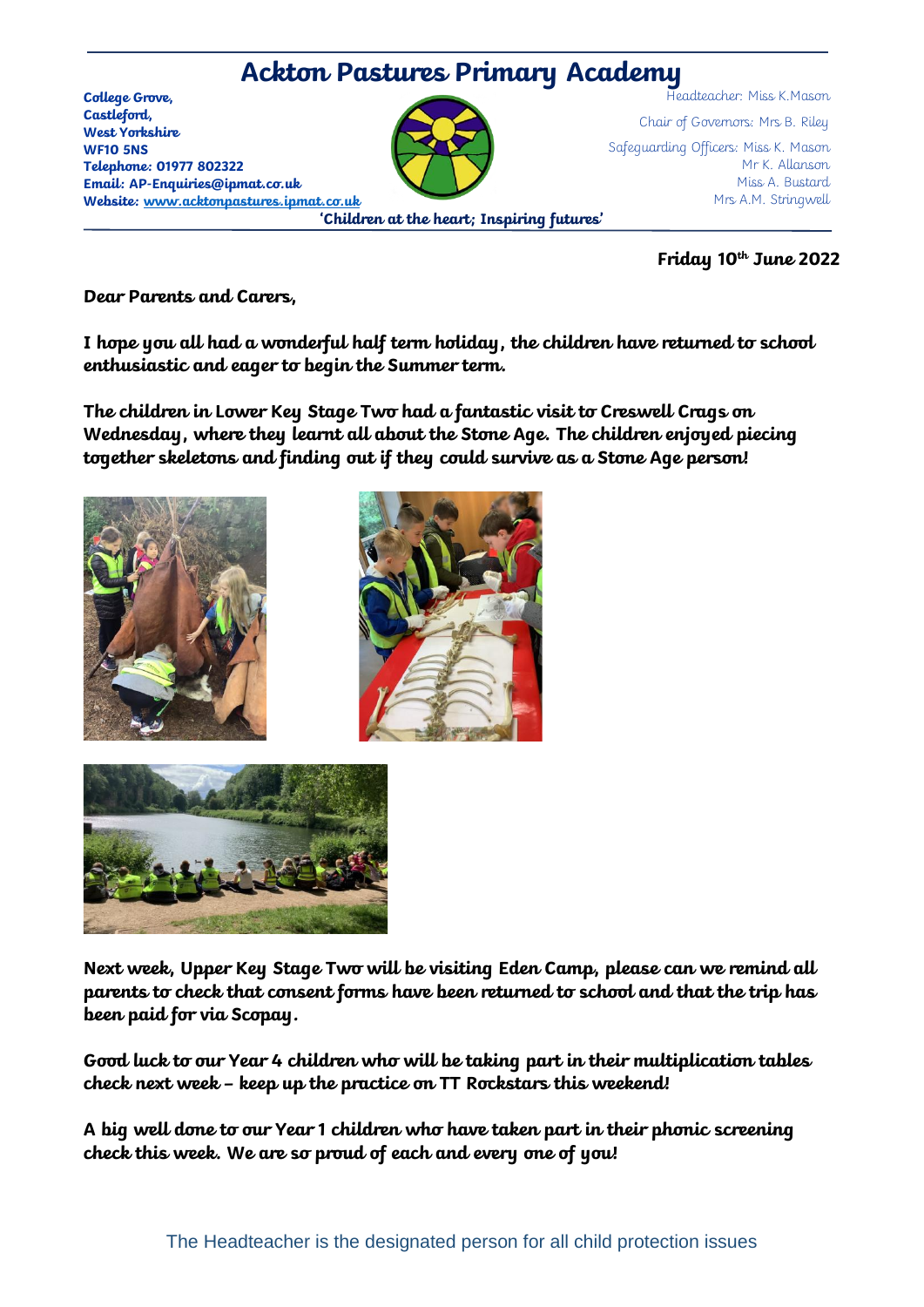

**Friday 10 th June 2022**

**Dear Parents and Carers,** 

**I hope you all had a wonderful half term holiday, the children have returned to school enthusiastic and eager to begin the Summer term.** 

**The children in Lower Key Stage Two had a fantastic visit to Creswell Crags on Wednesday, where they learnt all about the Stone Age. The children enjoyed piecing together skeletons and finding out if they could survive as a Stone Age person!**







**Next week, Upper Key Stage Two will be visiting Eden Camp, please can we remind all parents to check that consent forms have been returned to school and that the trip has been paid for via Scopay.** 

**Good luck to our Year 4 children who will be taking part in their multiplication tables check next week – keep up the practice on TT Rockstars this weekend!**

**A big well done to our Year 1 children who have taken part in their phonic screening check this week. We are so proud of each and every one of you!**